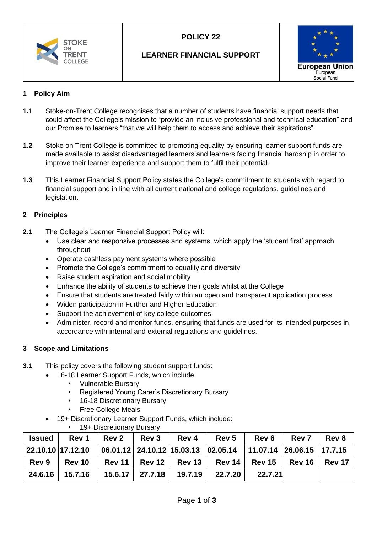

# **POLICY 22**

## **LEARNER FINANCIAL SUPPORT**



### **1 Policy Aim**

- **1.1** Stoke-on-Trent College recognises that a number of students have financial support needs that could affect the College's mission to "provide an inclusive professional and technical education" and our Promise to learners "that we will help them to access and achieve their aspirations".
- **1.2** Stoke on Trent College is committed to promoting equality by ensuring learner support funds are made available to assist disadvantaged learners and learners facing financial hardship in order to improve their learner experience and support them to fulfil their potential.
- **1.3** This Learner Financial Support Policy states the College's commitment to students with regard to financial support and in line with all current national and college regulations, guidelines and legislation.

### **2 Principles**

- **2.1** The College's Learner Financial Support Policy will:
	- Use clear and responsive processes and systems, which apply the 'student first' approach throughout
	- Operate cashless payment systems where possible
	- Promote the College's commitment to equality and diversity
	- Raise student aspiration and social mobility
	- Enhance the ability of students to achieve their goals whilst at the College
	- Ensure that students are treated fairly within an open and transparent application process
	- Widen participation in Further and Higher Education
	- Support the achievement of key college outcomes
	- Administer, record and monitor funds, ensuring that funds are used for its intended purposes in accordance with internal and external regulations and guidelines.

### **3 Scope and Limitations**

- **3.1** This policy covers the following student support funds:
	- 16-18 Learner Support Funds, which include:
		- Vulnerable Bursary
		- Registered Young Carer's Discretionary Bursary
		- 16-18 Discretionary Bursary
		- Free College Meals
	- 19+ Discretionary Learner Support Funds, which include:
		- 19+ Discretionary Bursary

| <b>Issued</b>     | Rev 1   | <b>Rev 2</b> | <b>Rev 3</b> | Rev 4                         | Rev 5                                                                         | <b>Rev 6</b>             | <b>Rev 7</b> | Rev 8      |
|-------------------|---------|--------------|--------------|-------------------------------|-------------------------------------------------------------------------------|--------------------------|--------------|------------|
| 22.10.10 17.12.10 |         |              |              |                               | $\vert$ 06.01.12 $\vert$ 24.10.12 15.03.13 02.05.14 11.07.14 26.06.15 17.7.15 |                          |              |            |
| Rev 9             | Rev 10  |              |              | $Rev 11$   Rev 12   Rev 13    |                                                                               | Rev 14   Rev 15   Rev 16 |              | │ Rev 17 │ |
| 24.6.16           | 15.7.16 |              |              | $15.6.17$   27.7.18   19.7.19 | 22.7.20                                                                       | 22.7.21                  |              |            |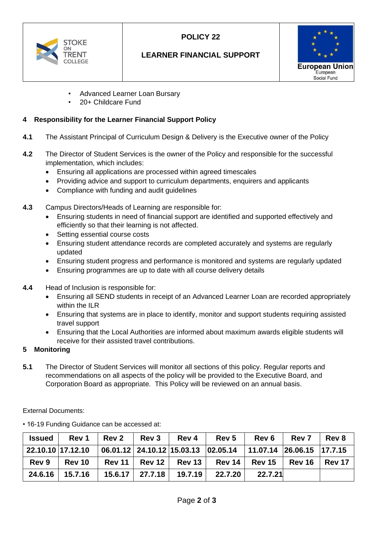

# **POLICY 22**

## **LEARNER FINANCIAL SUPPORT**



- Advanced Learner Loan Bursary
- 20+ Childcare Fund

#### **4 Responsibility for the Learner Financial Support Policy**

- **4.1** The Assistant Principal of Curriculum Design & Delivery is the Executive owner of the Policy
- **4.2** The Director of Student Services is the owner of the Policy and responsible for the successful implementation, which includes:
	- Ensuring all applications are processed within agreed timescales
	- Providing advice and support to curriculum departments, enquirers and applicants
	- Compliance with funding and audit guidelines
- **4.3** Campus Directors/Heads of Learning are responsible for:
	- Ensuring students in need of financial support are identified and supported effectively and efficiently so that their learning is not affected.
	- Setting essential course costs
	- Ensuring student attendance records are completed accurately and systems are regularly updated
	- Ensuring student progress and performance is monitored and systems are regularly updated
	- Ensuring programmes are up to date with all course delivery details
- **4.4** Head of Inclusion is responsible for:
	- Ensuring all SEND students in receipt of an Advanced Learner Loan are recorded appropriately within the ILR
	- Ensuring that systems are in place to identify, monitor and support students requiring assisted travel support
	- Ensuring that the Local Authorities are informed about maximum awards eligible students will receive for their assisted travel contributions.

#### **5 Monitoring**

**5.1** The Director of Student Services will monitor all sections of this policy. Regular reports and recommendations on all aspects of the policy will be provided to the Executive Board, and Corporation Board as appropriate. This Policy will be reviewed on an annual basis.

External Documents:

| <b>Issued</b>     | Rev 1         | <b>Rev 2</b> | <b>Rev 3</b> | <b>Rev 4</b>                      | Rev 5                                                                         | <b>Rev 6</b>    | <b>Rev 7</b>  | <b>Rev 8</b>    |
|-------------------|---------------|--------------|--------------|-----------------------------------|-------------------------------------------------------------------------------|-----------------|---------------|-----------------|
| 22.10.10 17.12.10 |               |              |              |                                   | $\vert$ 06.01.12 $\vert$ 24.10.12 15.03.13 02.05.14 11.07.14 26.06.15 17.7.15 |                 |               |                 |
| Rev 9             | <b>Rev 10</b> |              |              | <b>Rev 11   Rev 12   Rev 13  </b> | <b>Rev 14</b>                                                                 | <b>Rev 15</b> 1 | <b>Rev 16</b> | <b>∣ Rev 17</b> |
| 24.6.16           | 15.7.16       |              |              | 15.6.17   27.7.18   19.7.19       | 22.7.20                                                                       | 22.7.21         |               |                 |